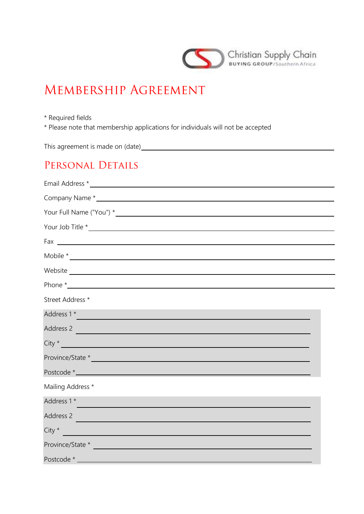

# MEMBERSHIP AGREEMENT

\* Required fields

\* Please note that membership applications for individuals will not be accepted

This agreement is made on (date)

### PERSONAL DETAILS

| Street Address *                                 |  |  |  |  |
|--------------------------------------------------|--|--|--|--|
| Address 1 *                                      |  |  |  |  |
| Address 2                                        |  |  |  |  |
| $\left\langle \text{City}\right\rangle ^{\star}$ |  |  |  |  |
|                                                  |  |  |  |  |
|                                                  |  |  |  |  |
| Mailing Address *                                |  |  |  |  |
| Address 1 *                                      |  |  |  |  |
| Address 2                                        |  |  |  |  |
| $City *$                                         |  |  |  |  |
| Province/State *                                 |  |  |  |  |
|                                                  |  |  |  |  |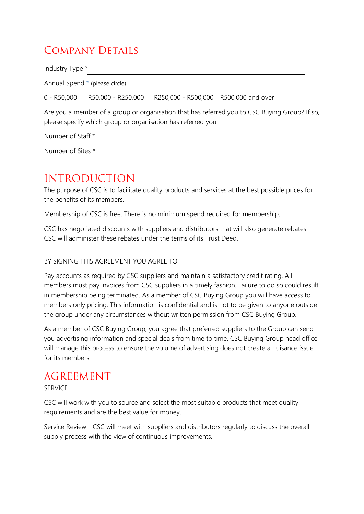## COMPANY DETAILS

| Industry Type *   |                                  |                                                             |                                                                                               |
|-------------------|----------------------------------|-------------------------------------------------------------|-----------------------------------------------------------------------------------------------|
|                   | Annual Spend * (please circle)   |                                                             |                                                                                               |
|                   | $0 - R50,000$ R50,000 - R250,000 | R250,000 - R500,000 R500,000 and over                       |                                                                                               |
|                   |                                  | please specify which group or organisation has referred you | Are you a member of a group or organisation that has referred you to CSC Buying Group? If so, |
| Number of Staff * |                                  |                                                             |                                                                                               |
| Number of Sites * |                                  |                                                             |                                                                                               |
|                   |                                  |                                                             |                                                                                               |

### **INTRODUCTION**

The purpose of CSC is to facilitate quality products and services at the best possible prices for the benefits of its members.

Membership of CSC is free. There is no minimum spend required for membership.

CSC has negotiated discounts with suppliers and distributors that will also generate rebates. CSC will administer these rebates under the terms of its Trust Deed.

### BY SIGNING THIS AGREEMENT YOU AGREE TO:

Pay accounts as required by CSC suppliers and maintain a satisfactory credit rating. All members must pay invoices from CSC suppliers in a timely fashion. Failure to do so could result in membership being terminated. As a member of CSC Buying Group you will have access to members only pricing. This information is confidential and is not to be given to anyone outside the group under any circumstances without written permission from CSC Buying Group.

As a member of CSC Buying Group, you agree that preferred suppliers to the Group can send you advertising information and special deals from time to time. CSC Buying Group head office will manage this process to ensure the volume of advertising does not create a nuisance issue for its members.

### **AGREEMENT**

**SERVICE** 

CSC will work with you to source and select the most suitable products that meet quality requirements and are the best value for money.

Service Review - CSC will meet with suppliers and distributors regularly to discuss the overall supply process with the view of continuous improvements.